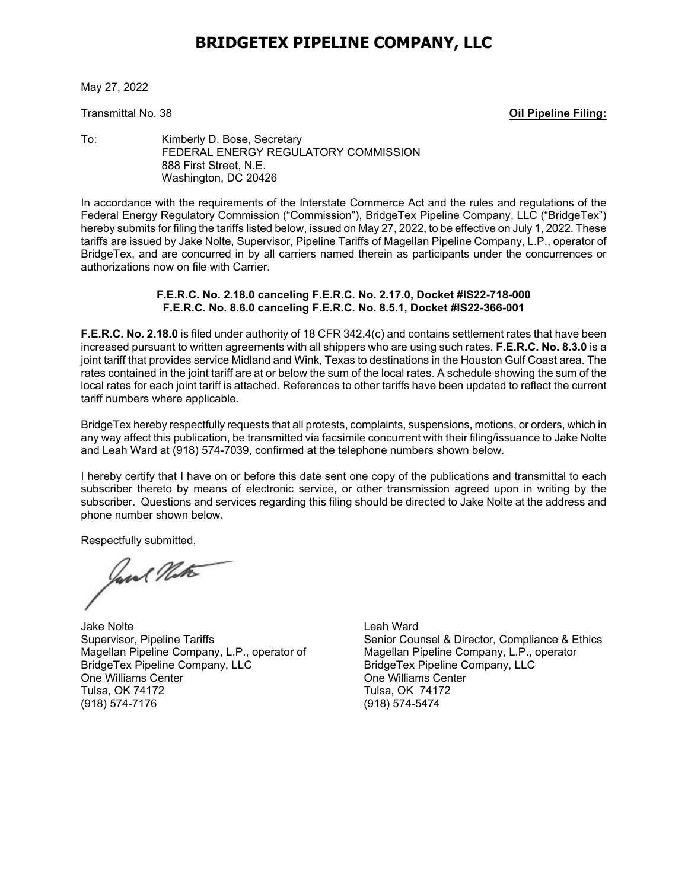## **BRIDGETEX PIPELINE COMPANY, LLC**

May 27, 2022

Transmittal No. 38 **Oil Pipeline Filing:**

To: Kimberly D. Bose, Secretary FEDERAL ENERGY REGULATORY COMMISSION 888 First Street, N.E. Washington, DC 20426

In accordance with the requirements of the Interstate Commerce Act and the rules and regulations of the Federal Energy Regulatory Commission ("Commission"), BridgeTex Pipeline Company, LLC ("BridgeTex") hereby submits for filing the tariffs listed below, issued on May 27, 2022, to be effective on July 1, 2022. These tariffs are issued by Jake Nolte, Supervisor, Pipeline Tariffs of Magellan Pipeline Company, L.P., operator of BridgeTex, and are concurred in by all carriers named therein as participants under the concurrences or authorizations now on file with Carrier.

## **F.E.R.C. No. 2.18.0 canceling F.E.R.C. No. 2.17.0, Docket #IS22-718-000 F.E.R.C. No. 8.6.0 canceling F.E.R.C. No. 8.5.1, Docket #IS22-366-001**

**F.E.R.C. No. 2.18.0** is filed under authority of 18 CFR 342.4(c) and contains settlement rates that have been increased pursuant to written agreements with all shippers who are using such rates. **F.E.R.C. No. 8.3.0** is a joint tariff that provides service Midland and Wink, Texas to destinations in the Houston Gulf Coast area. The rates contained in the joint tariff are at or below the sum of the local rates. A schedule showing the sum of the local rates for each joint tariff is attached. References to other tariffs have been updated to reflect the current tariff numbers where applicable.

BridgeTex hereby respectfully requests that all protests, complaints, suspensions, motions, or orders, which in any way affect this publication, be transmitted via facsimile concurrent with their filing/issuance to Jake Nolte and Leah Ward at (918) 574-7039, confirmed at the telephone numbers shown below.

I hereby certify that I have on or before this date sent one copy of the publications and transmittal to each subscriber thereto by means of electronic service, or other transmission agreed upon in writing by the subscriber. Questions and services regarding this filing should be directed to Jake Nolte at the address and phone number shown below.

Respectfully submitted,

Jane Note

Jake Nolte Leah Ward Magellan Pipeline Company, L.P., operator of BridgeTex Pipeline Company, LLC BridgeTex Pipeline Company, LLC One Williams Center **One Williams** Center Tulsa, OK 74172 Tulsa, OK 74172

Senior Counsel & Director, Compliance & Ethics<br>Magellan Pipeline Company, L.P., operator (918) 574-5474